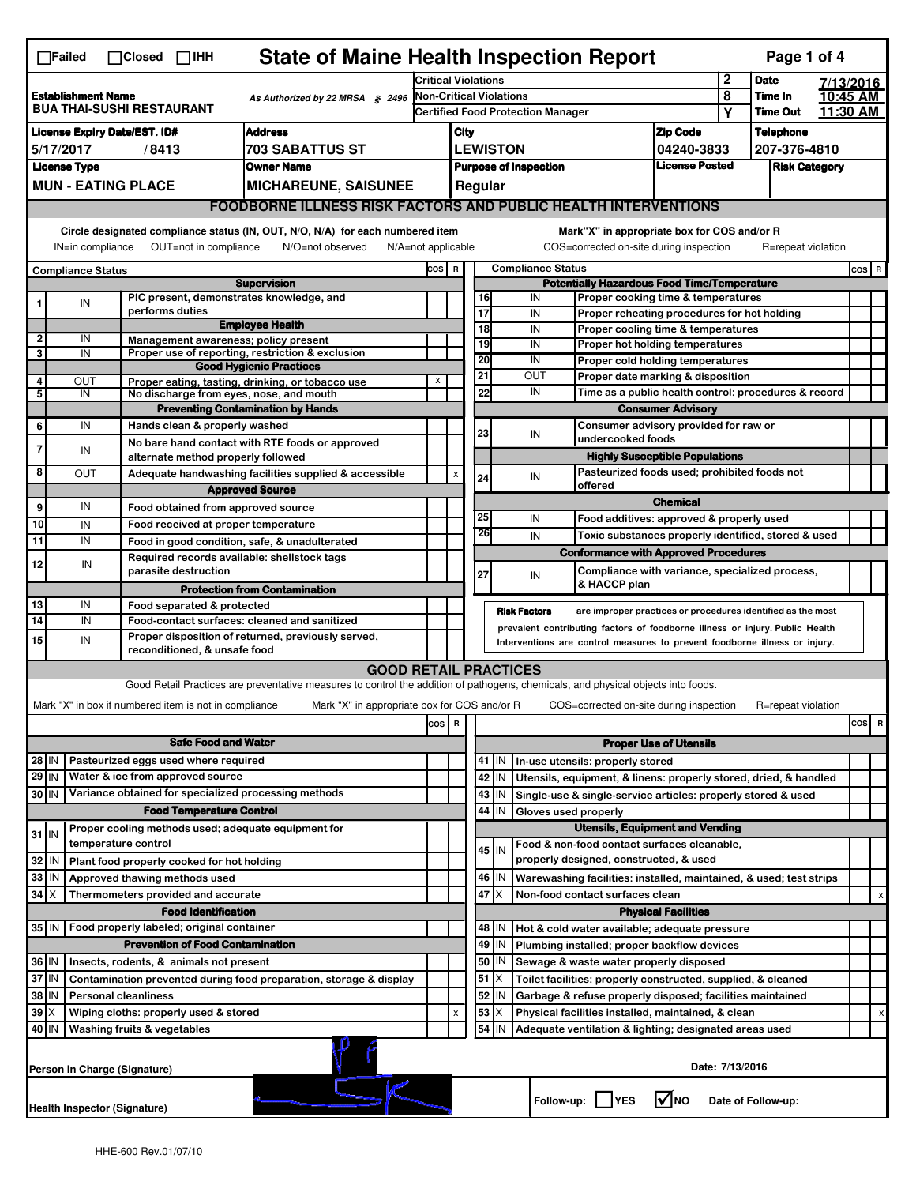|                                                                                                                                                                                                                                                                                           | <b>State of Maine Health Inspection Report</b><br>Page 1 of 4<br>$\Box$ Failed<br>$\Box$ Closed $\Box$ IHH |                                                                  |                                                                                                                                   |                                                      |                                                                        |                         |                                          |                                            |                                                                                                       |                                       |        |                            |                      |     |   |  |
|-------------------------------------------------------------------------------------------------------------------------------------------------------------------------------------------------------------------------------------------------------------------------------------------|------------------------------------------------------------------------------------------------------------|------------------------------------------------------------------|-----------------------------------------------------------------------------------------------------------------------------------|------------------------------------------------------|------------------------------------------------------------------------|-------------------------|------------------------------------------|--------------------------------------------|-------------------------------------------------------------------------------------------------------|---------------------------------------|--------|----------------------------|----------------------|-----|---|--|
|                                                                                                                                                                                                                                                                                           | $\mathbf 2$<br><b>Critical Violations</b><br><b>Date</b><br>7/13/2016                                      |                                                                  |                                                                                                                                   |                                                      |                                                                        |                         |                                          |                                            |                                                                                                       |                                       |        |                            |                      |     |   |  |
| <b>Establishment Name</b><br>As Authorized by 22 MRSA § 2496<br><b>BUA THAI-SUSHI RESTAURANT</b>                                                                                                                                                                                          |                                                                                                            |                                                                  |                                                                                                                                   |                                                      | Non-Critical Violations                                                |                         |                                          |                                            |                                                                                                       |                                       | 8<br>Υ | Time In<br><b>Time Out</b> | 10:45 AM<br>11.30 AM |     |   |  |
|                                                                                                                                                                                                                                                                                           | <b>Address</b><br><b>License Expiry Date/EST. ID#</b>                                                      |                                                                  |                                                                                                                                   |                                                      |                                                                        |                         | <b>Certified Food Protection Manager</b> |                                            |                                                                                                       |                                       |        |                            |                      |     |   |  |
|                                                                                                                                                                                                                                                                                           |                                                                                                            |                                                                  |                                                                                                                                   |                                                      |                                                                        | <b>Zip Code</b><br>City |                                          |                                            |                                                                                                       |                                       |        | <b>Telephone</b>           |                      |     |   |  |
| 5/17/2017<br>/8413<br>703 SABATTUS ST<br><b>License Type</b><br><b>Owner Name</b>                                                                                                                                                                                                         |                                                                                                            |                                                                  |                                                                                                                                   |                                                      | <b>LEWISTON</b><br>207-376-4810<br>04240-3833<br><b>License Posted</b> |                         |                                          |                                            |                                                                                                       |                                       |        |                            |                      |     |   |  |
|                                                                                                                                                                                                                                                                                           |                                                                                                            |                                                                  |                                                                                                                                   | <b>Purpose of Inspection</b><br><b>Risk Category</b> |                                                                        |                         |                                          |                                            |                                                                                                       |                                       |        |                            |                      |     |   |  |
| <b>MUN - EATING PLACE</b><br><b>MICHAREUNE, SAISUNEE</b><br>Regular<br><b>FOODBORNE ILLNESS RISK FACTORS AND PUBLIC HEALTH INTERVENTIONS</b>                                                                                                                                              |                                                                                                            |                                                                  |                                                                                                                                   |                                                      |                                                                        |                         |                                          |                                            |                                                                                                       |                                       |        |                            |                      |     |   |  |
|                                                                                                                                                                                                                                                                                           |                                                                                                            |                                                                  |                                                                                                                                   |                                                      |                                                                        |                         |                                          |                                            |                                                                                                       |                                       |        |                            |                      |     |   |  |
| Circle designated compliance status (IN, OUT, N/O, N/A) for each numbered item<br>Mark"X" in appropriate box for COS and/or R<br>IN=in compliance<br>OUT=not in compliance<br>N/O=not observed<br>COS=corrected on-site during inspection<br>R=repeat violation<br>$N/A = not$ applicable |                                                                                                            |                                                                  |                                                                                                                                   |                                                      |                                                                        |                         |                                          |                                            |                                                                                                       |                                       |        |                            |                      |     |   |  |
|                                                                                                                                                                                                                                                                                           |                                                                                                            |                                                                  |                                                                                                                                   |                                                      |                                                                        |                         |                                          | <b>Compliance Status</b><br>COS R<br>COS R |                                                                                                       |                                       |        |                            |                      |     |   |  |
|                                                                                                                                                                                                                                                                                           | <b>Compliance Status</b>                                                                                   |                                                                  | <b>Supervision</b>                                                                                                                |                                                      | <b>Potentially Hazardous Food Time/Temperature</b>                     |                         |                                          |                                            |                                                                                                       |                                       |        |                            |                      |     |   |  |
|                                                                                                                                                                                                                                                                                           | IN                                                                                                         |                                                                  | PIC present, demonstrates knowledge, and                                                                                          |                                                      |                                                                        | 16                      |                                          | IN                                         | Proper cooking time & temperatures                                                                    |                                       |        |                            |                      |     |   |  |
|                                                                                                                                                                                                                                                                                           |                                                                                                            | performs duties                                                  | <b>Employee Health</b>                                                                                                            |                                                      |                                                                        | $\overline{17}$         |                                          | IN                                         | Proper reheating procedures for hot holding                                                           |                                       |        |                            |                      |     |   |  |
| $\mathbf{2}$                                                                                                                                                                                                                                                                              | IN                                                                                                         |                                                                  | Management awareness; policy present                                                                                              |                                                      |                                                                        | 18<br>19                |                                          | IN<br>IN                                   | Proper cooling time & temperatures<br>Proper hot holding temperatures                                 |                                       |        |                            |                      |     |   |  |
| 3                                                                                                                                                                                                                                                                                         | IN                                                                                                         |                                                                  | Proper use of reporting, restriction & exclusion                                                                                  |                                                      |                                                                        | 20                      |                                          | IN                                         | Proper cold holding temperatures                                                                      |                                       |        |                            |                      |     |   |  |
|                                                                                                                                                                                                                                                                                           |                                                                                                            |                                                                  | <b>Good Hygienic Practices</b>                                                                                                    |                                                      |                                                                        | 21                      |                                          | OUT                                        | Proper date marking & disposition                                                                     |                                       |        |                            |                      |     |   |  |
| 4<br>5                                                                                                                                                                                                                                                                                    | OUT<br>IN                                                                                                  |                                                                  | Proper eating, tasting, drinking, or tobacco use<br>No discharge from eyes, nose, and mouth                                       | х                                                    |                                                                        | 22                      |                                          | IN                                         | Time as a public health control: procedures & record                                                  |                                       |        |                            |                      |     |   |  |
|                                                                                                                                                                                                                                                                                           |                                                                                                            |                                                                  | <b>Preventing Contamination by Hands</b>                                                                                          |                                                      |                                                                        |                         |                                          |                                            | <b>Consumer Advisory</b>                                                                              |                                       |        |                            |                      |     |   |  |
| 6                                                                                                                                                                                                                                                                                         | IN                                                                                                         | Hands clean & properly washed                                    |                                                                                                                                   |                                                      |                                                                        | 23                      |                                          | IN                                         | Consumer advisory provided for raw or                                                                 |                                       |        |                            |                      |     |   |  |
| 7                                                                                                                                                                                                                                                                                         | IN                                                                                                         |                                                                  | No bare hand contact with RTE foods or approved                                                                                   |                                                      |                                                                        |                         |                                          |                                            | undercooked foods                                                                                     |                                       |        |                            |                      |     |   |  |
|                                                                                                                                                                                                                                                                                           |                                                                                                            | alternate method properly followed                               |                                                                                                                                   |                                                      |                                                                        |                         |                                          |                                            |                                                                                                       | <b>Highly Susceptible Populations</b> |        |                            |                      |     |   |  |
| 8                                                                                                                                                                                                                                                                                         | OUT                                                                                                        |                                                                  | Adequate handwashing facilities supplied & accessible                                                                             |                                                      | X                                                                      | 24                      |                                          | IN                                         | Pasteurized foods used; prohibited foods not<br>offered                                               |                                       |        |                            |                      |     |   |  |
| 9                                                                                                                                                                                                                                                                                         | IN                                                                                                         |                                                                  | <b>Approved Source</b>                                                                                                            |                                                      |                                                                        |                         |                                          |                                            |                                                                                                       | <b>Chemical</b>                       |        |                            |                      |     |   |  |
| 10                                                                                                                                                                                                                                                                                        | IN                                                                                                         | Food obtained from approved source                               |                                                                                                                                   |                                                      |                                                                        | 25                      |                                          | IN                                         | Food additives: approved & properly used                                                              |                                       |        |                            |                      |     |   |  |
| 11                                                                                                                                                                                                                                                                                        | IN                                                                                                         | Food received at proper temperature                              | Food in good condition, safe, & unadulterated                                                                                     |                                                      |                                                                        | 26                      |                                          | IN                                         | Toxic substances properly identified, stored & used                                                   |                                       |        |                            |                      |     |   |  |
|                                                                                                                                                                                                                                                                                           |                                                                                                            |                                                                  | Required records available: shellstock tags                                                                                       |                                                      |                                                                        |                         |                                          |                                            | <b>Conformance with Approved Procedures</b>                                                           |                                       |        |                            |                      |     |   |  |
| 12                                                                                                                                                                                                                                                                                        | IN                                                                                                         | parasite destruction                                             |                                                                                                                                   |                                                      |                                                                        | 27                      |                                          | IN                                         | Compliance with variance, specialized process,                                                        |                                       |        |                            |                      |     |   |  |
|                                                                                                                                                                                                                                                                                           |                                                                                                            |                                                                  | <b>Protection from Contamination</b>                                                                                              |                                                      |                                                                        |                         |                                          |                                            | & HACCP plan                                                                                          |                                       |        |                            |                      |     |   |  |
| 13                                                                                                                                                                                                                                                                                        | IN                                                                                                         | Food separated & protected                                       |                                                                                                                                   |                                                      |                                                                        |                         |                                          | <b>Risk Factors</b>                        | are improper practices or procedures identified as the most                                           |                                       |        |                            |                      |     |   |  |
| 14                                                                                                                                                                                                                                                                                        | IN                                                                                                         |                                                                  | Food-contact surfaces: cleaned and sanitized<br>Proper disposition of returned, previously served,                                |                                                      |                                                                        |                         |                                          |                                            | prevalent contributing factors of foodborne illness or injury. Public Health                          |                                       |        |                            |                      |     |   |  |
| 15                                                                                                                                                                                                                                                                                        | IN                                                                                                         | reconditioned, & unsafe food                                     |                                                                                                                                   |                                                      |                                                                        |                         |                                          |                                            | Interventions are control measures to prevent foodborne illness or injury.                            |                                       |        |                            |                      |     |   |  |
|                                                                                                                                                                                                                                                                                           |                                                                                                            |                                                                  | <b>GOOD RETAIL PRACTICES</b>                                                                                                      |                                                      |                                                                        |                         |                                          |                                            |                                                                                                       |                                       |        |                            |                      |     |   |  |
|                                                                                                                                                                                                                                                                                           |                                                                                                            |                                                                  | Good Retail Practices are preventative measures to control the addition of pathogens, chemicals, and physical objects into foods. |                                                      |                                                                        |                         |                                          |                                            |                                                                                                       |                                       |        |                            |                      |     |   |  |
|                                                                                                                                                                                                                                                                                           |                                                                                                            | Mark "X" in box if numbered item is not in compliance            | Mark "X" in appropriate box for COS and/or R                                                                                      |                                                      |                                                                        |                         |                                          |                                            | COS=corrected on-site during inspection                                                               |                                       |        | R=repeat violation         |                      |     |   |  |
|                                                                                                                                                                                                                                                                                           |                                                                                                            |                                                                  |                                                                                                                                   | cos                                                  | R                                                                      |                         |                                          |                                            |                                                                                                       |                                       |        |                            |                      | cos | R |  |
|                                                                                                                                                                                                                                                                                           |                                                                                                            | <b>Safe Food and Water</b>                                       |                                                                                                                                   |                                                      |                                                                        |                         |                                          |                                            |                                                                                                       | <b>Proper Use of Utensils</b>         |        |                            |                      |     |   |  |
| 28 IN                                                                                                                                                                                                                                                                                     |                                                                                                            | Pasteurized eggs used where required                             |                                                                                                                                   |                                                      |                                                                        |                         | 41   IN                                  |                                            | In-use utensils: properly stored                                                                      |                                       |        |                            |                      |     |   |  |
| $29$ IN                                                                                                                                                                                                                                                                                   |                                                                                                            | Water & ice from approved source                                 |                                                                                                                                   |                                                      |                                                                        |                         | 42 IN                                    |                                            | Utensils, equipment, & linens: properly stored, dried, & handled                                      |                                       |        |                            |                      |     |   |  |
| 30 IN                                                                                                                                                                                                                                                                                     |                                                                                                            | Variance obtained for specialized processing methods             |                                                                                                                                   |                                                      |                                                                        |                         | 43 IN                                    |                                            | Single-use & single-service articles: properly stored & used                                          |                                       |        |                            |                      |     |   |  |
|                                                                                                                                                                                                                                                                                           |                                                                                                            | <b>Food Temperature Control</b>                                  |                                                                                                                                   |                                                      |                                                                        |                         | 44<br>IN                                 | Gloves used properly                       |                                                                                                       |                                       |        |                            |                      |     |   |  |
| $31$ IN                                                                                                                                                                                                                                                                                   |                                                                                                            | Proper cooling methods used; adequate equipment for              |                                                                                                                                   |                                                      |                                                                        |                         |                                          |                                            | <b>Utensils, Equipment and Vending</b>                                                                |                                       |        |                            |                      |     |   |  |
|                                                                                                                                                                                                                                                                                           |                                                                                                            | temperature control                                              |                                                                                                                                   |                                                      |                                                                        |                         | 45   IN                                  |                                            | Food & non-food contact surfaces cleanable,                                                           |                                       |        |                            |                      |     |   |  |
| 32                                                                                                                                                                                                                                                                                        | ۱N                                                                                                         | Plant food properly cooked for hot holding                       |                                                                                                                                   |                                                      |                                                                        |                         |                                          |                                            | properly designed, constructed, & used                                                                |                                       |        |                            |                      |     |   |  |
| 33<br>$34$ $\times$                                                                                                                                                                                                                                                                       | IN                                                                                                         | Approved thawing methods used                                    |                                                                                                                                   |                                                      |                                                                        |                         | 46 IN<br>47<br>ΙX                        |                                            | Warewashing facilities: installed, maintained, & used; test strips<br>Non-food contact surfaces clean |                                       |        |                            |                      |     |   |  |
|                                                                                                                                                                                                                                                                                           |                                                                                                            | Thermometers provided and accurate<br><b>Food Identification</b> |                                                                                                                                   |                                                      |                                                                        |                         |                                          |                                            |                                                                                                       | <b>Physical Facilities</b>            |        |                            |                      |     | х |  |
| 35 IN                                                                                                                                                                                                                                                                                     |                                                                                                            | Food properly labeled; original container                        |                                                                                                                                   |                                                      |                                                                        |                         | 48   IN                                  |                                            | Hot & cold water available; adequate pressure                                                         |                                       |        |                            |                      |     |   |  |
|                                                                                                                                                                                                                                                                                           |                                                                                                            | <b>Prevention of Food Contamination</b>                          |                                                                                                                                   |                                                      |                                                                        | 49                      | IN                                       |                                            | Plumbing installed; proper backflow devices                                                           |                                       |        |                            |                      |     |   |  |
| 36 IN                                                                                                                                                                                                                                                                                     |                                                                                                            | Insects, rodents, & animals not present                          |                                                                                                                                   |                                                      |                                                                        |                         | 50<br>IN                                 |                                            | Sewage & waste water properly disposed                                                                |                                       |        |                            |                      |     |   |  |
| 37 IN                                                                                                                                                                                                                                                                                     |                                                                                                            |                                                                  | Contamination prevented during food preparation, storage & display                                                                |                                                      |                                                                        |                         | $51$ $\overline{\phantom{1}}$ $\times$   |                                            | Toilet facilities: properly constructed, supplied, & cleaned                                          |                                       |        |                            |                      |     |   |  |
| 38                                                                                                                                                                                                                                                                                        | ΙM                                                                                                         | <b>Personal cleanliness</b>                                      |                                                                                                                                   |                                                      |                                                                        |                         | 52 IN                                    |                                            | Garbage & refuse properly disposed; facilities maintained                                             |                                       |        |                            |                      |     |   |  |
| 39                                                                                                                                                                                                                                                                                        | IΧ                                                                                                         | Wiping cloths: properly used & stored                            |                                                                                                                                   |                                                      | X                                                                      | 53                      | Χ                                        |                                            | Physical facilities installed, maintained, & clean                                                    |                                       |        |                            |                      |     |   |  |
|                                                                                                                                                                                                                                                                                           | 54<br>40 IN<br>Washing fruits & vegetables<br>IN<br>Adequate ventilation & lighting; designated areas used |                                                                  |                                                                                                                                   |                                                      |                                                                        |                         |                                          |                                            |                                                                                                       |                                       |        |                            |                      |     |   |  |
| Date: 7/13/2016<br>Person in Charge (Signature)                                                                                                                                                                                                                                           |                                                                                                            |                                                                  |                                                                                                                                   |                                                      |                                                                        |                         |                                          |                                            |                                                                                                       |                                       |        |                            |                      |     |   |  |
|                                                                                                                                                                                                                                                                                           |                                                                                                            | Health Inspector (Signature)                                     |                                                                                                                                   |                                                      |                                                                        |                         |                                          |                                            | Follow-up: YES                                                                                        | $\sqrt{\ }$ NO                        |        | Date of Follow-up:         |                      |     |   |  |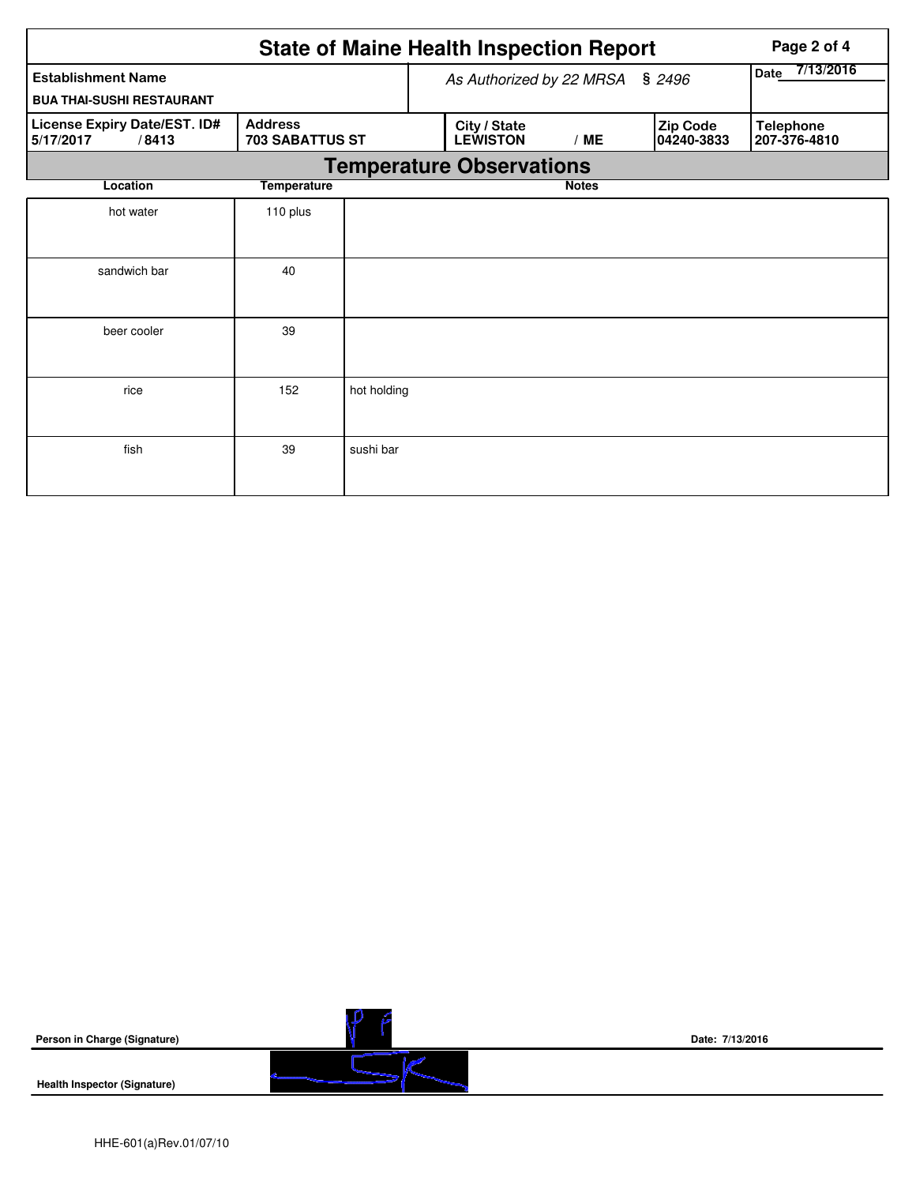|                                                               | <b>State of Maine Health Inspection Report</b> | Page 2 of 4 |                                 |                   |                        |                                  |
|---------------------------------------------------------------|------------------------------------------------|-------------|---------------------------------|-------------------|------------------------|----------------------------------|
| <b>Establishment Name</b><br><b>BUA THAI-SUSHI RESTAURANT</b> |                                                |             | As Authorized by 22 MRSA        | 7/13/2016<br>Date |                        |                                  |
| License Expiry Date/EST. ID#<br>5/17/2017<br>/8413            | <b>Address</b><br><b>703 SABATTUS ST</b>       |             | City / State<br><b>LEWISTON</b> | /ME               | Zip Code<br>04240-3833 | <b>Telephone</b><br>207-376-4810 |
|                                                               |                                                |             | <b>Temperature Observations</b> |                   |                        |                                  |
| Location                                                      | <b>Temperature</b>                             |             |                                 | <b>Notes</b>      |                        |                                  |
| hot water                                                     | 110 plus                                       |             |                                 |                   |                        |                                  |
| sandwich bar                                                  | 40                                             |             |                                 |                   |                        |                                  |
| beer cooler                                                   | 39                                             |             |                                 |                   |                        |                                  |
| rice                                                          | 152                                            | hot holding |                                 |                   |                        |                                  |
| fish                                                          | 39                                             | sushi bar   |                                 |                   |                        |                                  |

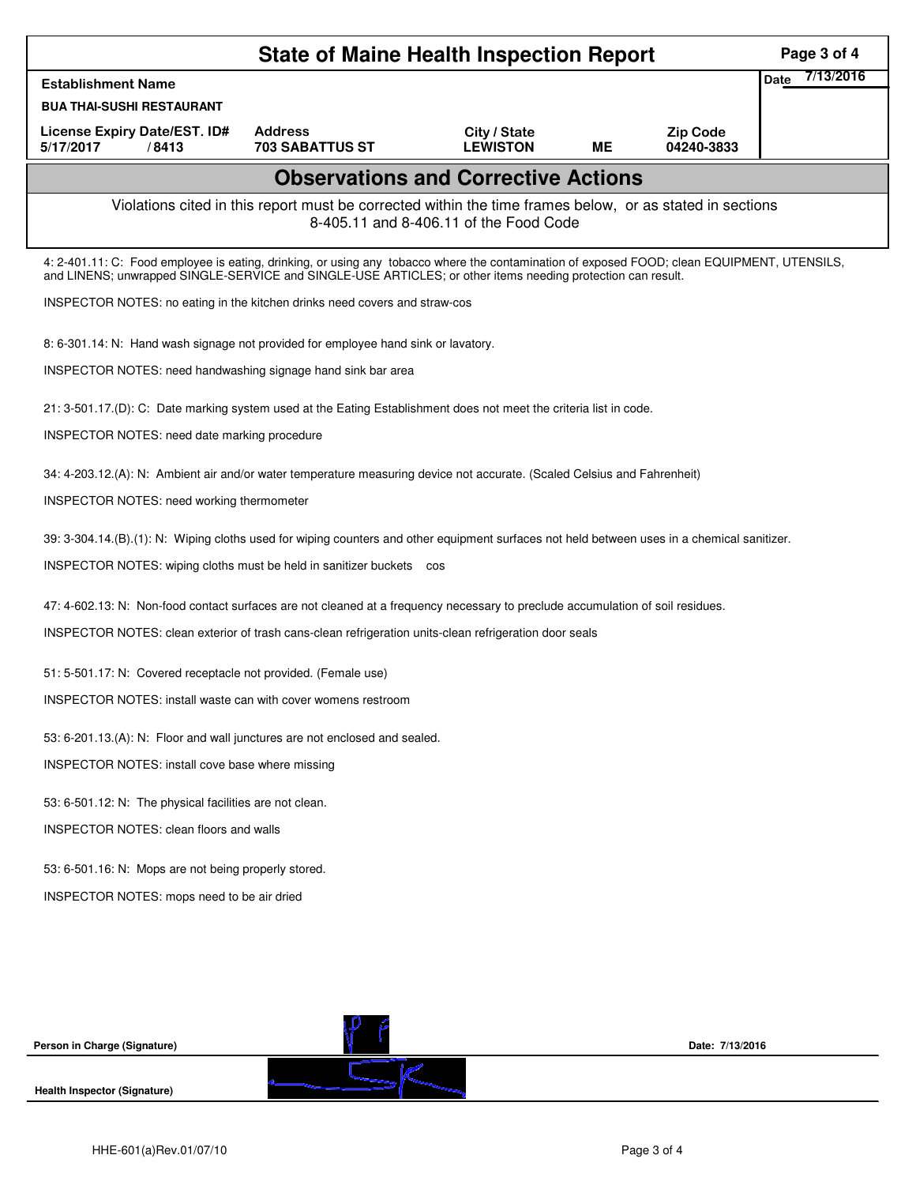|                                                                                                                                                                                                                                                            |                                                                                                                                | <b>State of Maine Health Inspection Report</b> |           |                               | Page 3 of 4              |  |  |  |  |
|------------------------------------------------------------------------------------------------------------------------------------------------------------------------------------------------------------------------------------------------------------|--------------------------------------------------------------------------------------------------------------------------------|------------------------------------------------|-----------|-------------------------------|--------------------------|--|--|--|--|
| <b>Establishment Name</b>                                                                                                                                                                                                                                  |                                                                                                                                |                                                |           |                               | 7/13/2016<br><b>Date</b> |  |  |  |  |
| <b>BUA THAI-SUSHI RESTAURANT</b>                                                                                                                                                                                                                           |                                                                                                                                |                                                |           |                               |                          |  |  |  |  |
| License Expiry Date/EST. ID#<br>5/17/2017<br>/8413                                                                                                                                                                                                         | <b>Address</b><br><b>703 SABATTUS ST</b>                                                                                       | City / State<br><b>LEWISTON</b>                | <b>ME</b> | <b>Zip Code</b><br>04240-3833 |                          |  |  |  |  |
|                                                                                                                                                                                                                                                            |                                                                                                                                | <b>Observations and Corrective Actions</b>     |           |                               |                          |  |  |  |  |
| Violations cited in this report must be corrected within the time frames below, or as stated in sections<br>8-405.11 and 8-406.11 of the Food Code                                                                                                         |                                                                                                                                |                                                |           |                               |                          |  |  |  |  |
| 4: 2-401.11: C: Food employee is eating, drinking, or using any tobacco where the contamination of exposed FOOD; clean EQUIPMENT, UTENSILS,<br>and LINENS; unwrapped SINGLE-SERVICE and SINGLE-USE ARTICLES; or other items needing protection can result. |                                                                                                                                |                                                |           |                               |                          |  |  |  |  |
|                                                                                                                                                                                                                                                            | INSPECTOR NOTES: no eating in the kitchen drinks need covers and straw-cos                                                     |                                                |           |                               |                          |  |  |  |  |
|                                                                                                                                                                                                                                                            | 8: 6-301.14: N: Hand wash signage not provided for employee hand sink or lavatory.                                             |                                                |           |                               |                          |  |  |  |  |
| INSPECTOR NOTES: need handwashing signage hand sink bar area                                                                                                                                                                                               |                                                                                                                                |                                                |           |                               |                          |  |  |  |  |
| 21: 3-501.17.(D): C: Date marking system used at the Eating Establishment does not meet the criteria list in code.                                                                                                                                         |                                                                                                                                |                                                |           |                               |                          |  |  |  |  |
| INSPECTOR NOTES: need date marking procedure                                                                                                                                                                                                               |                                                                                                                                |                                                |           |                               |                          |  |  |  |  |
| 34: 4-203.12.(A): N: Ambient air and/or water temperature measuring device not accurate. (Scaled Celsius and Fahrenheit)                                                                                                                                   |                                                                                                                                |                                                |           |                               |                          |  |  |  |  |
| <b>INSPECTOR NOTES: need working thermometer</b>                                                                                                                                                                                                           |                                                                                                                                |                                                |           |                               |                          |  |  |  |  |
| 39: 3-304.14.(B).(1): N: Wiping cloths used for wiping counters and other equipment surfaces not held between uses in a chemical sanitizer.                                                                                                                |                                                                                                                                |                                                |           |                               |                          |  |  |  |  |
|                                                                                                                                                                                                                                                            | INSPECTOR NOTES: wiping cloths must be held in sanitizer buckets cos                                                           |                                                |           |                               |                          |  |  |  |  |
|                                                                                                                                                                                                                                                            | 47: 4-602.13: N: Non-food contact surfaces are not cleaned at a frequency necessary to preclude accumulation of soil residues. |                                                |           |                               |                          |  |  |  |  |
| INSPECTOR NOTES: clean exterior of trash cans-clean refrigeration units-clean refrigeration door seals                                                                                                                                                     |                                                                                                                                |                                                |           |                               |                          |  |  |  |  |
| 51: 5-501.17: N: Covered receptacle not provided. (Female use)                                                                                                                                                                                             |                                                                                                                                |                                                |           |                               |                          |  |  |  |  |
| INSPECTOR NOTES: install waste can with cover womens restroom                                                                                                                                                                                              |                                                                                                                                |                                                |           |                               |                          |  |  |  |  |
| 53: 6-201.13.(A): N: Floor and wall junctures are not enclosed and sealed.                                                                                                                                                                                 |                                                                                                                                |                                                |           |                               |                          |  |  |  |  |
| INSPECTOR NOTES: install cove base where missing                                                                                                                                                                                                           |                                                                                                                                |                                                |           |                               |                          |  |  |  |  |
| 53: 6-501.12: N: The physical facilities are not clean.                                                                                                                                                                                                    |                                                                                                                                |                                                |           |                               |                          |  |  |  |  |
| <b>INSPECTOR NOTES: clean floors and walls</b>                                                                                                                                                                                                             |                                                                                                                                |                                                |           |                               |                          |  |  |  |  |
| 53: 6-501.16: N: Mops are not being properly stored.                                                                                                                                                                                                       |                                                                                                                                |                                                |           |                               |                          |  |  |  |  |
| INSPECTOR NOTES: mops need to be air dried                                                                                                                                                                                                                 |                                                                                                                                |                                                |           |                               |                          |  |  |  |  |
|                                                                                                                                                                                                                                                            |                                                                                                                                |                                                |           |                               |                          |  |  |  |  |
|                                                                                                                                                                                                                                                            |                                                                                                                                |                                                |           |                               |                          |  |  |  |  |
|                                                                                                                                                                                                                                                            |                                                                                                                                |                                                |           |                               |                          |  |  |  |  |
| Person in Charge (Signature)                                                                                                                                                                                                                               |                                                                                                                                |                                                |           | Date: 7/13/2016               |                          |  |  |  |  |
|                                                                                                                                                                                                                                                            |                                                                                                                                |                                                |           |                               |                          |  |  |  |  |
| Health Inspector (Signature)                                                                                                                                                                                                                               |                                                                                                                                |                                                |           |                               |                          |  |  |  |  |